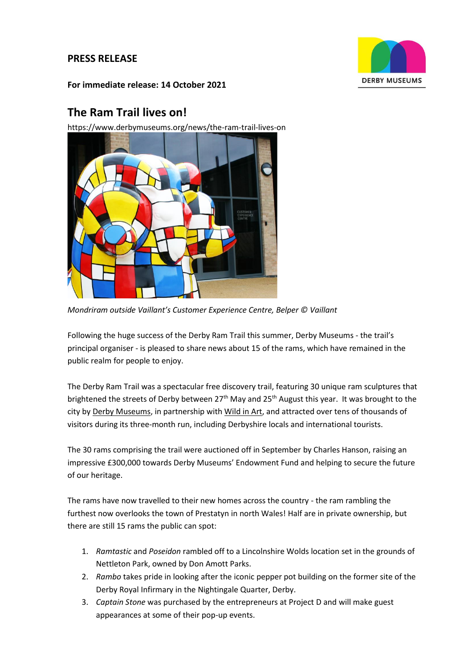# **PRESS RELEASE**



**For immediate release: 14 October 2021**

# **The Ram Trail lives on!**

https://www.derbymuseums.org/news/the-ram-trail-lives-on



*Mondriram outside Vaillant's Customer Experience Centre, Belper © Vaillant*

Following the huge success of the Derby Ram Trail this summer, Derby Museums - the trail's principal organiser - is pleased to share news about 15 of the rams, which have remained in the public realm for people to enjoy.

The Derby Ram Trail was a spectacular free discovery trail, featuring 30 unique ram sculptures that brightened the streets of Derby between 27<sup>th</sup> May and 25<sup>th</sup> August this year. It was brought to the city b[y Derby Museums,](https://www.derbymuseums.org/) in partnership wit[h Wild in Art,](https://www.wildinart.co.uk/) and attracted over tens of thousands of visitors during its three-month run, including Derbyshire locals and international tourists.

The 30 rams comprising the trail were auctioned off in September by Charles Hanson, raising an impressive £300,000 towards Derby Museums' Endowment Fund and helping to secure the future of our heritage.

The rams have now travelled to their new homes across the country - the ram rambling the furthest now overlooks the town of Prestatyn in north Wales! Half are in private ownership, but there are still 15 rams the public can spot:

- 1. *Ramtastic* and *Poseidon* rambled off to a Lincolnshire Wolds location set in the grounds of Nettleton Park, owned by Don Amott Parks.
- 2. *Rambo* takes pride in looking after the iconic pepper pot building on the former site of the Derby Royal Infirmary in the Nightingale Quarter, Derby.
- 3. *Captain Stone* was purchased by the entrepreneurs at Project D and will make guest appearances at some of their pop-up events.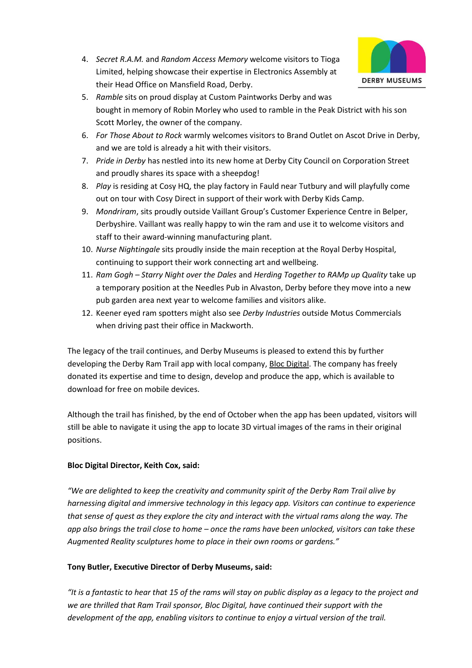

- 4. *Secret R.A.M.* and *Random Access Memory* welcome visitors to Tioga Limited, helping showcase their expertise in Electronics Assembly at their Head Office on Mansfield Road, Derby.
- 5. *Ramble* sits on proud display at Custom Paintworks Derby and was bought in memory of Robin Morley who used to ramble in the Peak District with his son Scott Morley, the owner of the company.
- 6. *For Those About to Rock* warmly welcomes visitors to Brand Outlet on Ascot Drive in Derby, and we are told is already a hit with their visitors.
- 7. *Pride in Derby* has nestled into its new home at Derby City Council on Corporation Street and proudly shares its space with a sheepdog!
- 8. *Play* is residing at Cosy HQ, the play factory in Fauld near Tutbury and will playfully come out on tour with Cosy Direct in support of their work with Derby Kids Camp.
- 9. *Mondriram*, sits proudly outside Vaillant Group's Customer Experience Centre in Belper, Derbyshire. Vaillant was really happy to win the ram and use it to welcome visitors and staff to their award-winning manufacturing plant.
- 10. *Nurse Nightingale* sits proudly inside the main reception at the Royal Derby Hospital, continuing to support their work connecting art and wellbeing.
- 11. *Ram Gogh – Starry Night over the Dales* and *Herding Together to RAMp up Quality* take up a temporary position at the Needles Pub in Alvaston, Derby before they move into a new pub garden area next year to welcome families and visitors alike.
- 12. Keener eyed ram spotters might also see *Derby Industries* outside Motus Commercials when driving past their office in Mackworth.

The legacy of the trail continues, and Derby Museums is pleased to extend this by further developing the Derby Ram Trail app with local company, [Bloc Digital.](https://bloc-digital.com/) The company has freely donated its expertise and time to design, develop and produce the app, which is available to download for free on mobile devices.

Although the trail has finished, by the end of October when the app has been updated, visitors will still be able to navigate it using the app to locate 3D virtual images of the rams in their original positions.

# **Bloc Digital Director, Keith Cox, said:**

*"We are delighted to keep the creativity and community spirit of the Derby Ram Trail alive by harnessing digital and immersive technology in this legacy app. Visitors can continue to experience that sense of quest as they explore the city and interact with the virtual rams along the way. The app also brings the trail close to home – once the rams have been unlocked, visitors can take these Augmented Reality sculptures home to place in their own rooms or gardens."*

# **Tony Butler, Executive Director of Derby Museums, said:**

*"It is a fantastic to hear that 15 of the rams will stay on public display as a legacy to the project and we are thrilled that Ram Trail sponsor, Bloc Digital, have continued their support with the development of the app, enabling visitors to continue to enjoy a virtual version of the trail.*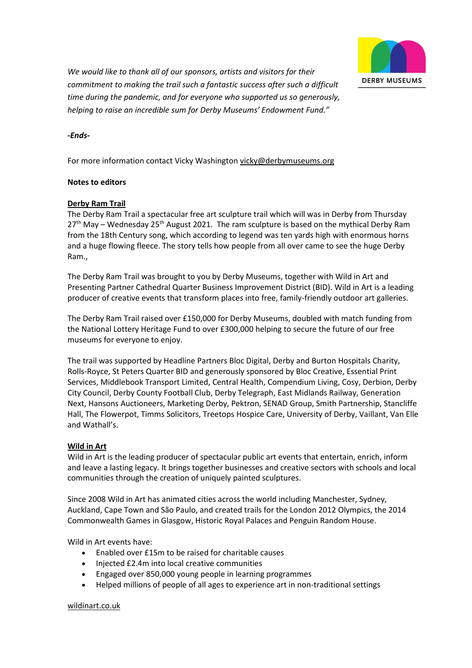

*We would like to thank all of our sponsors, artists and visitors for their commitment to making the trail such a fantastic success after such a difficult time during the pandemic, and for everyone who supported us so generously, helping to raise an incredible sum for Derby Museums' Endowment Fund."*

*-Ends-*

For more information contact Vicky Washingto[n vicky@derbymuseums.org](mailto:vicky@derbymuseums.org)

#### **Notes to editors**

# **[Derby Ram Trail](https://www.derbyramtrail.org/)**

The Derby Ram Trail a spectacular free art sculpture trail which will was in Derby from Thursday 27<sup>th</sup> May – Wednesday 25<sup>th</sup> August 2021. The ram sculpture is based on the mythical Derby Ram from the 18th Century song, which according to legend was ten yards high with enormous horns and a huge flowing fleece. The story tells how people from all over came to see the huge Derby Ram.,

The Derby Ram Trail was brought to you by Derby Museums, together with Wild in Art and Presenting Partner Cathedral Quarter Business Improvement District (BID). Wild in Art is a leading producer of creative events that transform places into free, family-friendly outdoor art galleries.

The Derby Ram Trail raised over £150,000 for Derby Museums, doubled with match funding from the National Lottery Heritage Fund to over £300,000 helping to secure the future of our free museums for everyone to enjoy.

The trail was supported by Headline Partners Bloc Digital, Derby and Burton Hospitals Charity, Rolls-Royce, St Peters Quarter BID and generously sponsored by Bloc Creative, Essential Print Services, Middlebook Transport Limited, Central Health, Compendium Living, Cosy, Derbion, Derby City Council, Derby County Football Club, Derby Telegraph, East Midlands Railway, Generation Next, Hansons Auctioneers, Marketing Derby, Pektron, SENAD Group, Smith Partnership, Stancliffe Hall, The Flowerpot, Timms Solicitors, Treetops Hospice Care, University of Derby, Vaillant, Van Elle and Wathall's.

#### **Wild in Art**

Wild in Art is the leading producer of spectacular public art events that entertain, enrich, inform and leave a lasting legacy. It brings together businesses and creative sectors with schools and local communities through the creation of uniquely painted sculptures.

Since 2008 Wild in Art has animated cities across the world including Manchester, Sydney, Auckland, Cape Town and São Paulo, and created trails for the London 2012 Olympics, the 2014 Commonwealth Games in Glasgow, Historic Royal Palaces and Penguin Random House.

Wild in Art events have:

- Enabled over £15m to be raised for charitable causes
- Injected £2.4m into local creative communities
- Engaged over 850,000 young people in learning programmes
- Helped millions of people of all ages to experience art in non-traditional settings

#### [wildinart.co.uk](https://www.wildinart.co.uk/)